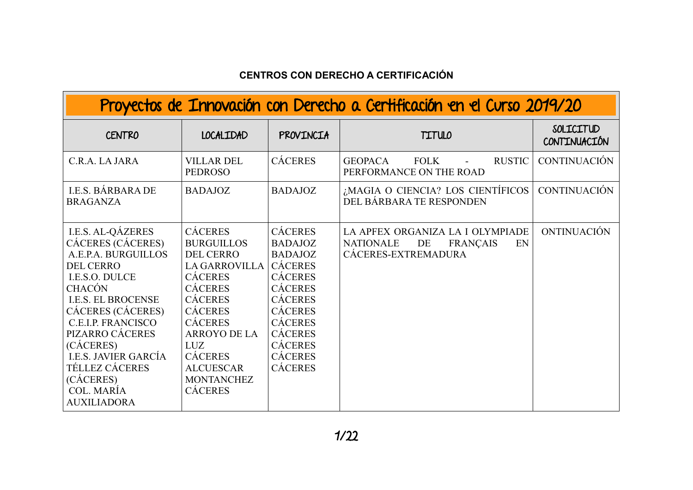## **CENTROS CON DERECHO A CERTIFICACIÓN**

| Proyectos de Innovación con Derecho a Certificación en el Curso 2019/20                                                                                                                                                                                                                                                                             |                                                                                                                                                                                                                                                                                      |                                                                                                                                                                                                                                        |                                                                                                            |                                  |
|-----------------------------------------------------------------------------------------------------------------------------------------------------------------------------------------------------------------------------------------------------------------------------------------------------------------------------------------------------|--------------------------------------------------------------------------------------------------------------------------------------------------------------------------------------------------------------------------------------------------------------------------------------|----------------------------------------------------------------------------------------------------------------------------------------------------------------------------------------------------------------------------------------|------------------------------------------------------------------------------------------------------------|----------------------------------|
| <b>CENTRO</b>                                                                                                                                                                                                                                                                                                                                       | <b>LOCALIDAD</b>                                                                                                                                                                                                                                                                     | PROVINCIA                                                                                                                                                                                                                              | <b>TITULO</b>                                                                                              | SOLICITUD<br><b>CONTINUACIÓN</b> |
| C.R.A. LA JARA                                                                                                                                                                                                                                                                                                                                      | <b>VILLAR DEL</b><br><b>PEDROSO</b>                                                                                                                                                                                                                                                  | <b>CÁCERES</b>                                                                                                                                                                                                                         | <b>RUSTIC</b><br><b>GEOPACA</b><br><b>FOLK</b><br>PERFORMANCE ON THE ROAD                                  | <b>CONTINUACIÓN</b>              |
| <b>I.E.S. BÁRBARA DE</b><br><b>BRAGANZA</b>                                                                                                                                                                                                                                                                                                         | <b>BADAJOZ</b>                                                                                                                                                                                                                                                                       | <b>BADAJOZ</b>                                                                                                                                                                                                                         | ¿MAGIA O CIENCIA? LOS CIENTÍFICOS<br>DEL BÁRBARA TE RESPONDEN                                              | <b>CONTINUACIÓN</b>              |
| <b>I.E.S. AL-QÁZERES</b><br>CÁCERES (CÁCERES)<br>A.E.P.A. BURGUILLOS<br><b>DEL CERRO</b><br>I.E.S.O. DULCE<br><b>CHACÓN</b><br><b>I.E.S. EL BROCENSE</b><br>CÁCERES (CÁCERES)<br><b>C.E.I.P. FRANCISCO</b><br>PIZARRO CÁCERES<br>(CÁCERES)<br><b>I.E.S. JAVIER GARCÍA</b><br><b>TÉLLEZ CÁCERES</b><br>(CÁCERES)<br>COL. MARÍA<br><b>AUXILIADORA</b> | <b>CÁCERES</b><br><b>BURGUILLOS</b><br><b>DEL CERRO</b><br><b>LA GARROVILLA</b><br><b>CÁCERES</b><br><b>CÁCERES</b><br><b>CÁCERES</b><br><b>CÁCERES</b><br><b>CÁCERES</b><br><b>ARROYO DE LA</b><br>LUZ<br><b>CÁCERES</b><br><b>ALCUESCAR</b><br><b>MONTANCHEZ</b><br><b>CÁCERES</b> | <b>CÁCERES</b><br><b>BADAJOZ</b><br><b>BADAJOZ</b><br><b>CÁCERES</b><br><b>CÁCERES</b><br><b>CÁCERES</b><br><b>CÁCERES</b><br><b>CÁCERES</b><br><b>CÁCERES</b><br><b>CÁCERES</b><br><b>CÁCERES</b><br><b>CÁCERES</b><br><b>CÁCERES</b> | LA APFEX ORGANIZA LA I OLYMPIADE<br><b>NATIONALE</b><br>DE<br><b>FRANÇAIS</b><br>EN<br>CÁCERES-EXTREMADURA | ONTINUACIÓN                      |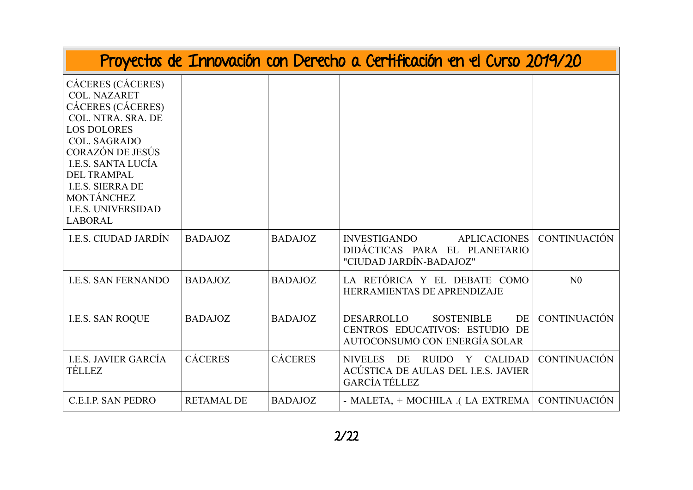|                                                                                                                                                                                                                                                                                                 |                   |                | Proyectos de Innovación con Derecho a Certificación en el Curso 2019/20                                                    |                     |
|-------------------------------------------------------------------------------------------------------------------------------------------------------------------------------------------------------------------------------------------------------------------------------------------------|-------------------|----------------|----------------------------------------------------------------------------------------------------------------------------|---------------------|
| CÁCERES (CÁCERES)<br><b>COL. NAZARET</b><br>CÁCERES (CÁCERES)<br>COL. NTRA. SRA. DE<br><b>LOS DOLORES</b><br><b>COL. SAGRADO</b><br>CORAZÓN DE JESÚS<br><b>I.E.S. SANTA LUCÍA</b><br><b>DEL TRAMPAL</b><br><b>I.E.S. SIERRA DE</b><br>MONTÁNCHEZ<br><b>I.E.S. UNIVERSIDAD</b><br><b>LABORAL</b> |                   |                |                                                                                                                            |                     |
| <b>I.E.S. CIUDAD JARDÍN</b>                                                                                                                                                                                                                                                                     | <b>BADAJOZ</b>    | <b>BADAJOZ</b> | <b>INVESTIGANDO</b><br><b>APLICACIONES</b><br>DIDÁCTICAS PARA EL PLANETARIO<br>"CIUDAD JARDÍN-BADAJOZ"                     | <b>CONTINUACIÓN</b> |
| <b>I.E.S. SAN FERNANDO</b>                                                                                                                                                                                                                                                                      | <b>BADAJOZ</b>    | <b>BADAJOZ</b> | LA RETÓRICA Y EL DEBATE COMO<br>HERRAMIENTAS DE APRENDIZAJE                                                                | N <sub>0</sub>      |
| <b>I.E.S. SAN ROQUE</b>                                                                                                                                                                                                                                                                         | <b>BADAJOZ</b>    | <b>BADAJOZ</b> | <b>DESARROLLO</b><br><b>SOSTENIBLE</b><br><b>DE</b><br>CENTROS EDUCATIVOS: ESTUDIO DE<br>AUTOCONSUMO CON ENERGÍA SOLAR     | <b>CONTINUACIÓN</b> |
| I.E.S. JAVIER GARCÍA<br><b>TÉLLEZ</b>                                                                                                                                                                                                                                                           | <b>CÁCERES</b>    | <b>CÁCERES</b> | DE<br><b>RUIDO</b><br><b>CALIDAD</b><br><b>NIVELES</b><br>Y<br>ACÚSTICA DE AULAS DEL I.E.S. JAVIER<br><b>GARCÍA TÉLLEZ</b> | <b>CONTINUACIÓN</b> |
| C.E.I.P. SAN PEDRO                                                                                                                                                                                                                                                                              | <b>RETAMAL DE</b> | <b>BADAJOZ</b> | - MALETA, + MOCHILA .( LA EXTREMA                                                                                          | <b>CONTINUACIÓN</b> |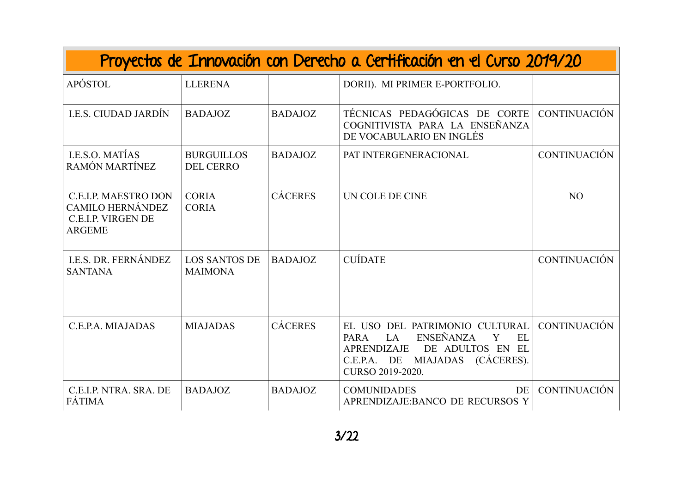| Proyectos de Innovación con Derecho a Certificación en el Curso 2019/20                              |                                        |                |                                                                                                                                                                                               |                     |  |
|------------------------------------------------------------------------------------------------------|----------------------------------------|----------------|-----------------------------------------------------------------------------------------------------------------------------------------------------------------------------------------------|---------------------|--|
| APÓSTOL                                                                                              | <b>LLERENA</b>                         |                | DORII). MI PRIMER E-PORTFOLIO.                                                                                                                                                                |                     |  |
| <b>I.E.S. CIUDAD JARDÍN</b>                                                                          | <b>BADAJOZ</b>                         | <b>BADAJOZ</b> | TÉCNICAS PEDAGÓGICAS DE CORTE<br>COGNITIVISTA PARA LA ENSEÑANZA<br>DE VOCABULARIO EN INGLÉS                                                                                                   | <b>CONTINUACIÓN</b> |  |
| LE.S.O. MATÍAS<br>RAMÓN MARTÍNEZ                                                                     | <b>BURGUILLOS</b><br><b>DEL CERRO</b>  | <b>BADAJOZ</b> | PAT INTERGENERACIONAL                                                                                                                                                                         | <b>CONTINUACIÓN</b> |  |
| <b>C.E.I.P. MAESTRO DON</b><br><b>CAMILO HERNÁNDEZ</b><br><b>C.E.I.P. VIRGEN DE</b><br><b>ARGEME</b> | <b>CORIA</b><br><b>CORIA</b>           | <b>CÁCERES</b> | UN COLE DE CINE                                                                                                                                                                               | N <sub>O</sub>      |  |
| I.E.S. DR. FERNÁNDEZ<br><b>SANTANA</b>                                                               | <b>LOS SANTOS DE</b><br><b>MAIMONA</b> | <b>BADAJOZ</b> | <b>CUÍDATE</b>                                                                                                                                                                                | <b>CONTINUACIÓN</b> |  |
| C.E.P.A. MIAJADAS                                                                                    | <b>MIAJADAS</b>                        | <b>CÁCERES</b> | EL USO DEL PATRIMONIO CULTURAL<br><b>ENSEÑANZA</b><br>Y<br><b>EL</b><br><b>PARA</b><br>LA<br><b>APRENDIZAJE</b><br>DE ADULTOS EN EL<br>C.E.P.A. DE MIAJADAS<br>(CÁCERES).<br>CURSO 2019-2020. | <b>CONTINUACIÓN</b> |  |
| C.E.I.P. NTRA. SRA. DE<br>FÁTIMA                                                                     | <b>BADAJOZ</b>                         | <b>BADAJOZ</b> | DE<br><b>COMUNIDADES</b><br>APRENDIZAJE: BANCO DE RECURSOS Y                                                                                                                                  | <b>CONTINUACIÓN</b> |  |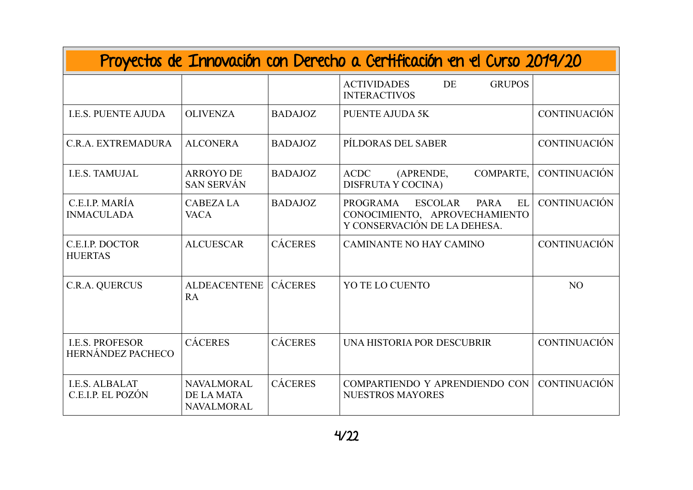| Proyectos de Innovación con Derecho a Certificación en el Curso 2019/20 |                                                             |                |                                                                                                                  |                     |  |
|-------------------------------------------------------------------------|-------------------------------------------------------------|----------------|------------------------------------------------------------------------------------------------------------------|---------------------|--|
|                                                                         |                                                             |                | <b>ACTIVIDADES</b><br>DE<br><b>GRUPOS</b><br><b>INTERACTIVOS</b>                                                 |                     |  |
| <b>I.E.S. PUENTE AJUDA</b>                                              | <b>OLIVENZA</b>                                             | <b>BADAJOZ</b> | <b>PUENTE AJUDA 5K</b>                                                                                           | <b>CONTINUACIÓN</b> |  |
| C.R.A. EXTREMADURA                                                      | <b>ALCONERA</b>                                             | <b>BADAJOZ</b> | PÍLDORAS DEL SABER                                                                                               | <b>CONTINUACIÓN</b> |  |
| <b>I.E.S. TAMUJAL</b>                                                   | <b>ARROYO DE</b><br><b>SAN SERVÁN</b>                       | <b>BADAJOZ</b> | COMPARTE,<br><b>ACDC</b><br>(APRENDE,<br>DISFRUTA Y COCINA)                                                      | <b>CONTINUACIÓN</b> |  |
| C.E.I.P. MARÍA<br><b>INMACULADA</b>                                     | <b>CABEZALA</b><br><b>VACA</b>                              | <b>BADAJOZ</b> | EL<br><b>ESCOLAR</b><br>PARA<br><b>PROGRAMA</b><br>CONOCIMIENTO, APROVECHAMIENTO<br>Y CONSERVACIÓN DE LA DEHESA. | <b>CONTINUACIÓN</b> |  |
| C.E.I.P. DOCTOR<br><b>HUERTAS</b>                                       | <b>ALCUESCAR</b>                                            | <b>CÁCERES</b> | <b>CAMINANTE NO HAY CAMINO</b>                                                                                   | <b>CONTINUACIÓN</b> |  |
| C.R.A. QUERCUS                                                          | <b>ALDEACENTENE</b><br>RA                                   | <b>CÁCERES</b> | YO TE LO CUENTO                                                                                                  | N <sub>O</sub>      |  |
| <b>I.E.S. PROFESOR</b><br><b>HERNÁNDEZ PACHECO</b>                      | <b>CÁCERES</b>                                              | <b>CÁCERES</b> | UNA HISTORIA POR DESCUBRIR                                                                                       | <b>CONTINUACIÓN</b> |  |
| <b>I.E.S. ALBALAT</b><br>C.E.I.P. EL POZÓN                              | <b>NAVALMORAL</b><br><b>DE LA MATA</b><br><b>NAVALMORAL</b> | <b>CÁCERES</b> | COMPARTIENDO Y APRENDIENDO CON<br><b>NUESTROS MAYORES</b>                                                        | <b>CONTINUACIÓN</b> |  |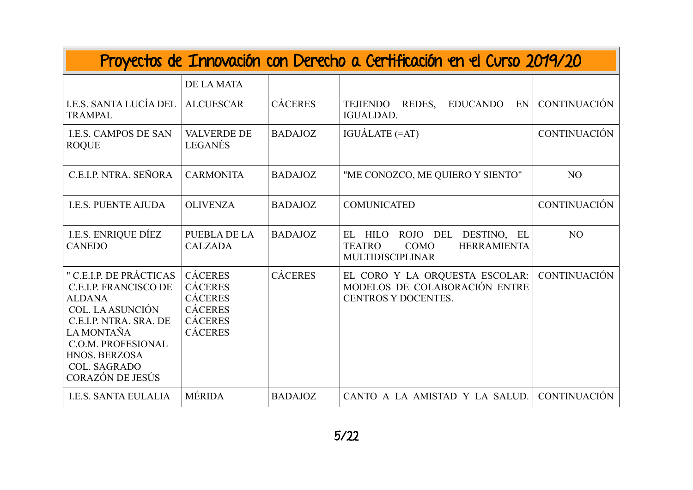| Proyectos de Innovación con Derecho a Certificación en el Curso 2019/20                                                                                                                                                              |                                                                                                          |                |                                                                                                                               |                     |  |
|--------------------------------------------------------------------------------------------------------------------------------------------------------------------------------------------------------------------------------------|----------------------------------------------------------------------------------------------------------|----------------|-------------------------------------------------------------------------------------------------------------------------------|---------------------|--|
|                                                                                                                                                                                                                                      | <b>DE LA MATA</b>                                                                                        |                |                                                                                                                               |                     |  |
| I.E.S. SANTA LUCÍA DEL<br><b>TRAMPAL</b>                                                                                                                                                                                             | <b>ALCUESCAR</b>                                                                                         | <b>CÁCERES</b> | <b>TEJIENDO</b><br>REDES,<br><b>EDUCANDO</b><br>EN<br><b>IGUALDAD.</b>                                                        | <b>CONTINUACIÓN</b> |  |
| <b>I.E.S. CAMPOS DE SAN</b><br><b>ROQUE</b>                                                                                                                                                                                          | <b>VALVERDE DE</b><br>LEGANÉS                                                                            | <b>BADAJOZ</b> | IGUÁLATE (=AT)                                                                                                                | <b>CONTINUACIÓN</b> |  |
| C.E.I.P. NTRA. SEÑORA                                                                                                                                                                                                                | <b>CARMONITA</b>                                                                                         | <b>BADAJOZ</b> | "ME CONOZCO, ME QUIERO Y SIENTO"                                                                                              | N <sub>O</sub>      |  |
| <b>I.E.S. PUENTE AJUDA</b>                                                                                                                                                                                                           | <b>OLIVENZA</b>                                                                                          | <b>BADAJOZ</b> | <b>COMUNICATED</b>                                                                                                            | <b>CONTINUACIÓN</b> |  |
| <b>I.E.S. ENRIQUE DÍEZ</b><br><b>CANEDO</b>                                                                                                                                                                                          | <b>PUEBLA DE LA</b><br><b>CALZADA</b>                                                                    | <b>BADAJOZ</b> | <b>HILO</b><br>DESTINO, EL<br>EL<br>ROJO DEL<br><b>COMO</b><br><b>HERRAMIENTA</b><br><b>TEATRO</b><br><b>MULTIDISCIPLINAR</b> | N <sub>O</sub>      |  |
| " C.E.I.P. DE PRÁCTICAS<br><b>C.E.I.P. FRANCISCO DE</b><br><b>ALDANA</b><br><b>COL. LA ASUNCIÓN</b><br>C.E.I.P. NTRA. SRA. DE<br>LA MONTAÑA<br><b>C.O.M. PROFESIONAL</b><br>HNOS. BERZOSA<br><b>COL. SAGRADO</b><br>CORAZÓN DE JESÚS | <b>CÁCERES</b><br><b>CÁCERES</b><br><b>CÁCERES</b><br><b>CÁCERES</b><br><b>CÁCERES</b><br><b>CÁCERES</b> | <b>CÁCERES</b> | EL CORO Y LA ORQUESTA ESCOLAR:<br>MODELOS DE COLABORACIÓN ENTRE<br><b>CENTROS Y DOCENTES.</b>                                 | <b>CONTINUACIÓN</b> |  |
| <b>I.E.S. SANTA EULALIA</b>                                                                                                                                                                                                          | <b>MÉRIDA</b>                                                                                            | <b>BADAJOZ</b> | CANTO A LA AMISTAD Y LA SALUD.                                                                                                | <b>CONTINUACIÓN</b> |  |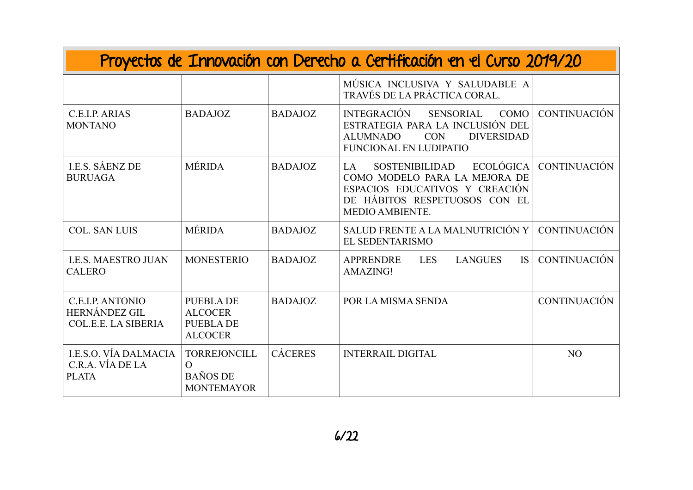| Proyectos de Innovación con Derecho a Certificación en el Curso 2019/20       |                                                                          |                |                                                                                                                                                                           |                     |
|-------------------------------------------------------------------------------|--------------------------------------------------------------------------|----------------|---------------------------------------------------------------------------------------------------------------------------------------------------------------------------|---------------------|
|                                                                               |                                                                          |                | MÚSICA INCLUSIVA Y SALUDABLE A<br>TRAVÉS DE LA PRÁCTICA CORAL.                                                                                                            |                     |
| C.E.I.P. ARIAS<br><b>MONTANO</b>                                              | <b>BADAJOZ</b>                                                           | <b>BADAJOZ</b> | <b>INTEGRACIÓN</b><br><b>SENSORIAL</b><br><b>COMO</b><br>ESTRATEGIA PARA LA INCLUSIÓN DEL<br><b>CON</b><br><b>DIVERSIDAD</b><br><b>ALUMNADO</b><br>FUNCIONAL EN LUDIPATIO | <b>CONTINUACIÓN</b> |
| <b>I.E.S. SÁENZ DE</b><br><b>BURUAGA</b>                                      | <b>MÉRIDA</b>                                                            | <b>BADAJOZ</b> | <b>ECOLÓGICA</b><br>SOSTENIBILIDAD<br>LA.<br>COMO MODELO PARA LA MEJORA DE<br>ESPACIOS EDUCATIVOS Y CREACIÓN<br>DE HÁBITOS RESPETUOSOS CON EL<br>MEDIO AMBIENTE.          | <b>CONTINUACIÓN</b> |
| <b>COL. SAN LUIS</b>                                                          | <b>MÉRIDA</b>                                                            | <b>BADAJOZ</b> | SALUD FRENTE A LA MALNUTRICIÓN Y<br>EL SEDENTARISMO                                                                                                                       | <b>CONTINUACIÓN</b> |
| <b>I.E.S. MAESTRO JUAN</b><br><b>CALERO</b>                                   | <b>MONESTERIO</b>                                                        | <b>BADAJOZ</b> | <b>LANGUES</b><br>IS.<br><b>APPRENDRE</b><br><b>LES</b><br>AMAZING!                                                                                                       | <b>CONTINUACIÓN</b> |
| <b>C.E.I.P. ANTONIO</b><br><b>HERNÁNDEZ GIL</b><br><b>COL.E.E. LA SIBERIA</b> | <b>PUEBLA DE</b><br><b>ALCOCER</b><br><b>PUEBLA DE</b><br><b>ALCOCER</b> | <b>BADAJOZ</b> | POR LA MISMA SENDA                                                                                                                                                        | <b>CONTINUACIÓN</b> |
| I.E.S.O. VÍA DALMACIA<br>C.R.A. VÍA DE LA<br><b>PLATA</b>                     | <b>TORREJONCILL</b><br>$\Omega$<br><b>BAÑOS DE</b><br><b>MONTEMAYOR</b>  | <b>CÁCERES</b> | <b>INTERRAIL DIGITAL</b>                                                                                                                                                  | N <sub>O</sub>      |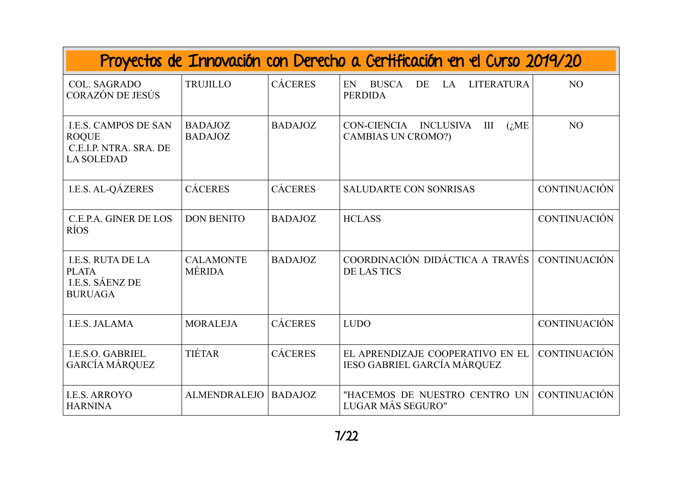| Proyectos de Innovación con Derecho a Certificación en el Curso 2019/20                    |                                   |                |                                                                              |                     |  |
|--------------------------------------------------------------------------------------------|-----------------------------------|----------------|------------------------------------------------------------------------------|---------------------|--|
| <b>COL. SAGRADO</b><br>CORAZÓN DE JESÚS                                                    | <b>TRUJILLO</b>                   | <b>CÁCERES</b> | <b>BUSCA</b><br><b>LITERATURA</b><br>EN<br>DE<br><b>LA</b><br><b>PERDIDA</b> | N <sub>O</sub>      |  |
| <b>I.E.S. CAMPOS DE SAN</b><br><b>ROQUE</b><br>C.E.I.P. NTRA. SRA. DE<br><b>LA SOLEDAD</b> | <b>BADAJOZ</b><br><b>BADAJOZ</b>  | <b>BADAJOZ</b> | CON-CIENCIA INCLUSIVA<br>III<br>(iME)<br><b>CAMBIAS UN CROMO?)</b>           | N <sub>O</sub>      |  |
| <b>I.E.S. AL-QÁZERES</b>                                                                   | <b>CÁCERES</b>                    | <b>CÁCERES</b> | <b>SALUDARTE CON SONRISAS</b>                                                | <b>CONTINUACIÓN</b> |  |
| C.E.P.A. GINER DE LOS<br>RÍOS                                                              | <b>DON BENITO</b>                 | <b>BADAJOZ</b> | <b>HCLASS</b>                                                                | <b>CONTINUACIÓN</b> |  |
| <b>I.E.S. RUTA DE LA</b><br><b>PLATA</b><br><b>I.E.S. SÁENZ DE</b><br><b>BURUAGA</b>       | <b>CALAMONTE</b><br><b>MÉRIDA</b> | <b>BADAJOZ</b> | COORDINACIÓN DIDÁCTICA A TRAVÉS<br><b>DE LAS TICS</b>                        | <b>CONTINUACIÓN</b> |  |
| <b>I.E.S. JALAMA</b>                                                                       | <b>MORALEJA</b>                   | <b>CÁCERES</b> | <b>LUDO</b>                                                                  | <b>CONTINUACIÓN</b> |  |
| <b>I.E.S.O. GABRIEL</b><br><b>GARCÍA MÁRQUEZ</b>                                           | TIÉTAR                            | <b>CÁCERES</b> | EL APRENDIZAJE COOPERATIVO EN EL<br><b>IESO GABRIEL GARCÍA MÁRQUEZ</b>       | <b>CONTINUACIÓN</b> |  |
| <b>I.E.S. ARROYO</b><br><b>HARNINA</b>                                                     | <b>ALMENDRALEJO</b>               | <b>BADAJOZ</b> | "HACEMOS DE NUESTRO CENTRO UN<br>LUGAR MÁS SEGURO"                           | <b>CONTINUACIÓN</b> |  |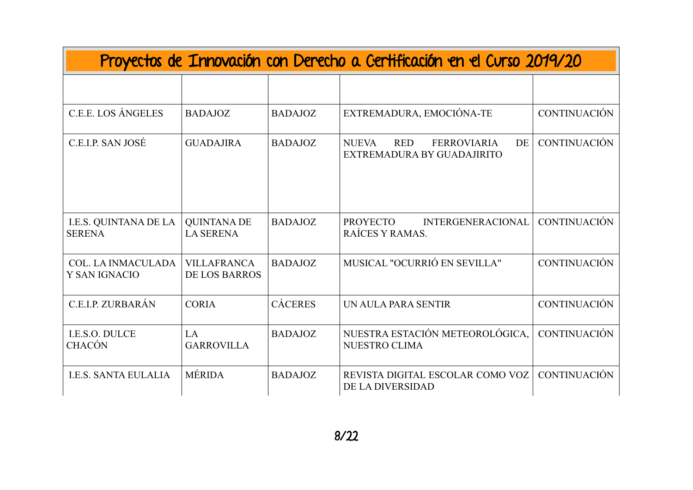| Proyectos de Innovación con Derecho a Certificación en el Curso 2019/20 |                                            |                |                                                                                      |                     |  |
|-------------------------------------------------------------------------|--------------------------------------------|----------------|--------------------------------------------------------------------------------------|---------------------|--|
|                                                                         |                                            |                |                                                                                      |                     |  |
| <b>C.E.E. LOS ÁNGELES</b>                                               | <b>BADAJOZ</b>                             | <b>BADAJOZ</b> | EXTREMADURA, EMOCIÓNA-TE                                                             | <b>CONTINUACIÓN</b> |  |
| C.E.I.P. SAN JOSÉ                                                       | <b>GUADAJIRA</b>                           | <b>BADAJOZ</b> | <b>NUEVA</b><br><b>RED</b><br><b>FERROVIARIA</b><br>DE<br>EXTREMADURA BY GUADAJIRITO | <b>CONTINUACIÓN</b> |  |
| I.E.S. QUINTANA DE LA<br><b>SERENA</b>                                  | <b>QUINTANA DE</b><br><b>LA SERENA</b>     | <b>BADAJOZ</b> | <b>INTERGENERACIONAL</b><br><b>PROYECTO</b><br>RAÍCES Y RAMAS.                       | <b>CONTINUACIÓN</b> |  |
| <b>COL. LA INMACULADA</b><br>Y SAN IGNACIO                              | <b>VILLAFRANCA</b><br><b>DE LOS BARROS</b> | <b>BADAJOZ</b> | MUSICAL "OCURRIÓ EN SEVILLA"                                                         | <b>CONTINUACIÓN</b> |  |
| C.E.I.P. ZURBARÁN                                                       | <b>CORIA</b>                               | <b>CÁCERES</b> | UN AULA PARA SENTIR                                                                  | <b>CONTINUACIÓN</b> |  |
| I.E.S.O. DULCE<br><b>CHACÓN</b>                                         | LA<br><b>GARROVILLA</b>                    | <b>BADAJOZ</b> | NUESTRA ESTACIÓN METEOROLÓGICA,<br><b>NUESTRO CLIMA</b>                              | <b>CONTINUACIÓN</b> |  |
| <b>I.E.S. SANTA EULALIA</b>                                             | <b>MÉRIDA</b>                              | <b>BADAJOZ</b> | REVISTA DIGITAL ESCOLAR COMO VOZ<br>DE LA DIVERSIDAD                                 | CONTINUACIÓN        |  |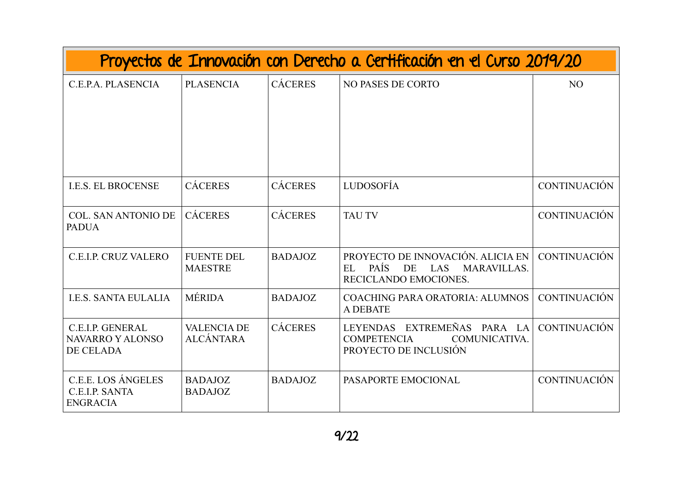| Proyectos de Innovación con Derecho a Certificación en el Curso 2019/20 |                                        |                |                                                                                                                           |                     |  |
|-------------------------------------------------------------------------|----------------------------------------|----------------|---------------------------------------------------------------------------------------------------------------------------|---------------------|--|
| C.E.P.A. PLASENCIA                                                      | <b>PLASENCIA</b>                       | <b>CÁCERES</b> | <b>NO PASES DE CORTO</b>                                                                                                  | N <sub>O</sub>      |  |
| <b>I.E.S. EL BROCENSE</b>                                               | <b>CÁCERES</b>                         | <b>CÁCERES</b> | <b>LUDOSOFÍA</b>                                                                                                          | <b>CONTINUACIÓN</b> |  |
| <b>COL. SAN ANTONIO DE</b><br><b>PADUA</b>                              | <b>CÁCERES</b>                         | <b>CÁCERES</b> | <b>TAU TV</b>                                                                                                             | <b>CONTINUACIÓN</b> |  |
| <b>C.E.I.P. CRUZ VALERO</b>                                             | <b>FUENTE DEL</b><br><b>MAESTRE</b>    | <b>BADAJOZ</b> | PROYECTO DE INNOVACIÓN. ALICIA EN<br><b>PAÍS</b><br><b>DE</b><br>LAS<br><b>MARAVILLAS.</b><br>EL<br>RECICLANDO EMOCIONES. | <b>CONTINUACIÓN</b> |  |
| <b>I.E.S. SANTA EULALIA</b>                                             | <b>MÉRIDA</b>                          | <b>BADAJOZ</b> | <b>COACHING PARA ORATORIA: ALUMNOS</b><br><b>A DEBATE</b>                                                                 | <b>CONTINUACIÓN</b> |  |
| <b>C.E.I.P. GENERAL</b><br><b>NAVARRO Y ALONSO</b><br>DE CELADA         | <b>VALENCIA DE</b><br><b>ALCÁNTARA</b> | <b>CÁCERES</b> | <b>EXTREMEÑAS</b><br><b>LEYENDAS</b><br>PARA LA<br><b>COMPETENCIA</b><br>COMUNICATIVA.<br>PROYECTO DE INCLUSIÓN           | <b>CONTINUACIÓN</b> |  |
| C.E.E. LOS ÁNGELES<br>C.E.I.P. SANTA<br><b>ENGRACIA</b>                 | <b>BADAJOZ</b><br><b>BADAJOZ</b>       | <b>BADAJOZ</b> | PASAPORTE EMOCIONAL                                                                                                       | <b>CONTINUACIÓN</b> |  |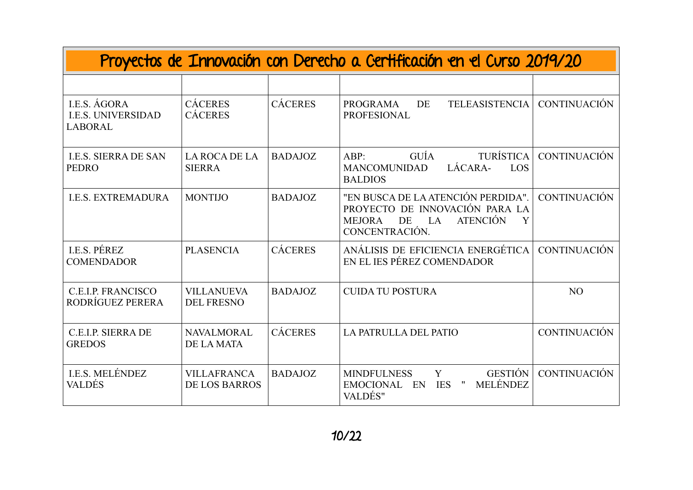| Proyectos de Innovación con Derecho a Certificación en el Curso 2019/20 |                                            |                |                                                                                                                                             |                     |  |
|-------------------------------------------------------------------------|--------------------------------------------|----------------|---------------------------------------------------------------------------------------------------------------------------------------------|---------------------|--|
|                                                                         |                                            |                |                                                                                                                                             |                     |  |
| I.E.S. AGORA<br><b>I.E.S. UNIVERSIDAD</b><br><b>LABORAL</b>             | <b>CÁCERES</b><br><b>CÁCERES</b>           | <b>CÁCERES</b> | <b>TELEASISTENCIA</b><br><b>PROGRAMA</b><br>DE<br><b>PROFESIONAL</b>                                                                        | <b>CONTINUACIÓN</b> |  |
| <b>I.E.S. SIERRA DE SAN</b><br><b>PEDRO</b>                             | LA ROCA DE LA<br><b>SIERRA</b>             | <b>BADAJOZ</b> | <b>TURÍSTICA</b><br>GUÍA<br>ABP:<br>LÁCARA-<br><b>MANCOMUNIDAD</b><br>LOS<br><b>BALDIOS</b>                                                 | <b>CONTINUACIÓN</b> |  |
| <b>I.E.S. EXTREMADURA</b>                                               | <b>MONTIJO</b>                             | <b>BADAJOZ</b> | "EN BUSCA DE LA ATENCIÓN PERDIDA".<br>PROYECTO DE INNOVACIÓN PARA LA<br>DE<br><b>ATENCIÓN</b><br>LA<br>Y<br><b>MEJORA</b><br>CONCENTRACIÓN. | <b>CONTINUACIÓN</b> |  |
| <b>I.E.S. PÉREZ</b><br><b>COMENDADOR</b>                                | <b>PLASENCIA</b>                           | <b>CÁCERES</b> | ANÁLISIS DE EFICIENCIA ENERGÉTICA<br>EN EL JES PÉREZ COMENDADOR                                                                             | <b>CONTINUACIÓN</b> |  |
| <b>C.E.I.P. FRANCISCO</b><br>RODRÍGUEZ PERERA                           | <b>VILLANUEVA</b><br><b>DEL FRESNO</b>     | <b>BADAJOZ</b> | <b>CUIDA TU POSTURA</b>                                                                                                                     | N <sub>O</sub>      |  |
| C.E.I.P. SIERRA DE<br><b>GREDOS</b>                                     | <b>NAVALMORAL</b><br><b>DE LA MATA</b>     | <b>CÁCERES</b> | LA PATRULLA DEL PATIO                                                                                                                       | <b>CONTINUACIÓN</b> |  |
| I.E.S. MELÉNDEZ<br><b>VALDÉS</b>                                        | <b>VILLAFRANCA</b><br><b>DE LOS BARROS</b> | <b>BADAJOZ</b> | <b>GESTIÓN</b><br><b>MINDFULNESS</b><br>Y<br><b>MELÉNDEZ</b><br><b>EMOCIONAL</b><br>EN<br><b>IES</b><br>$^{\prime\prime}$<br>VALDÉS"        | <b>CONTINUACIÓN</b> |  |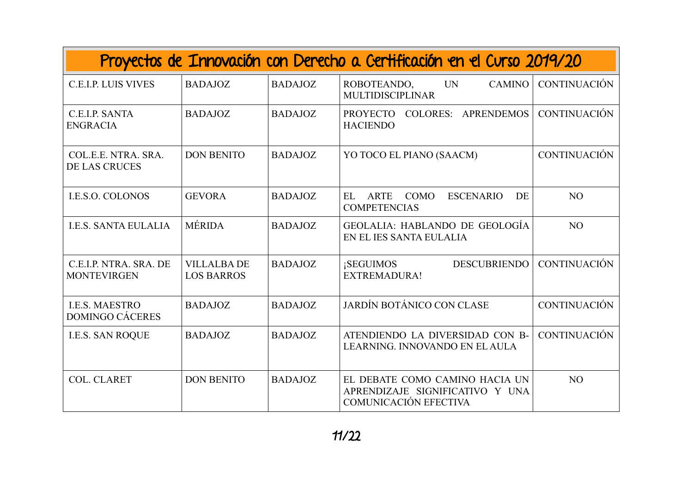| Proyectos de Innovación con Derecho a Certificación en el Curso 2019/20 |                                         |                |                                                                                            |                     |
|-------------------------------------------------------------------------|-----------------------------------------|----------------|--------------------------------------------------------------------------------------------|---------------------|
| <b>C.E.I.P. LUIS VIVES</b>                                              | <b>BADAJOZ</b>                          | <b>BADAJOZ</b> | <b>UN</b><br>ROBOTEANDO,<br><b>CAMINO</b><br><b>MULTIDISCIPLINAR</b>                       | <b>CONTINUACIÓN</b> |
| C.E.I.P. SANTA<br><b>ENGRACIA</b>                                       | <b>BADAJOZ</b>                          | <b>BADAJOZ</b> | <b>COLORES: APRENDEMOS</b><br>PROYECTO<br><b>HACIENDO</b>                                  | <b>CONTINUACIÓN</b> |
| COL.E.E. NTRA. SRA.<br><b>DE LAS CRUCES</b>                             | <b>DON BENITO</b>                       | <b>BADAJOZ</b> | YO TOCO EL PIANO (SAACM)                                                                   | <b>CONTINUACIÓN</b> |
| <b>I.E.S.O. COLONOS</b>                                                 | <b>GEVORA</b>                           | <b>BADAJOZ</b> | <b>ARTE</b><br><b>COMO</b><br><b>ESCENARIO</b><br>EL<br>DE<br><b>COMPETENCIAS</b>          | N <sub>O</sub>      |
| <b>I.E.S. SANTA EULALIA</b>                                             | <b>MÉRIDA</b>                           | <b>BADAJOZ</b> | GEOLALIA: HABLANDO DE GEOLOGÍA<br>EN EL IES SANTA EULALIA                                  | N <sub>O</sub>      |
| C.E.I.P. NTRA. SRA. DE<br><b>MONTEVIRGEN</b>                            | <b>VILLALBA DE</b><br><b>LOS BARROS</b> | <b>BADAJOZ</b> | <b>DESCUBRIENDO</b><br><b>SEGUIMOS</b><br><b>EXTREMADURA!</b>                              | <b>CONTINUACIÓN</b> |
| <b>I.E.S. MAESTRO</b><br><b>DOMINGO CÁCERES</b>                         | <b>BADAJOZ</b>                          | <b>BADAJOZ</b> | JARDÍN BOTÁNICO CON CLASE                                                                  | <b>CONTINUACIÓN</b> |
| <b>I.E.S. SAN ROQUE</b>                                                 | <b>BADAJOZ</b>                          | <b>BADAJOZ</b> | ATENDIENDO LA DIVERSIDAD CON B-<br>LEARNING. INNOVANDO EN EL AULA                          | <b>CONTINUACIÓN</b> |
| <b>COL. CLARET</b>                                                      | <b>DON BENITO</b>                       | <b>BADAJOZ</b> | EL DEBATE COMO CAMINO HACIA UN<br>APRENDIZAJE SIGNIFICATIVO Y UNA<br>COMUNICACIÓN EFECTIVA | N <sub>O</sub>      |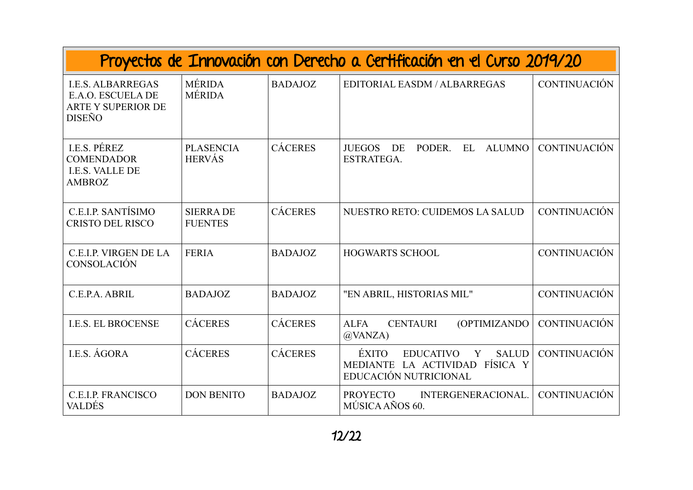| Proyectos de Innovación con Derecho a Certificación en el Curso 2019/20                     |                                    |                |                                                                                                                     |                     |  |
|---------------------------------------------------------------------------------------------|------------------------------------|----------------|---------------------------------------------------------------------------------------------------------------------|---------------------|--|
| <b>I.E.S. ALBARREGAS</b><br>E.A.O. ESCUELA DE<br><b>ARTE Y SUPERIOR DE</b><br><b>DISEÑO</b> | <b>MÉRIDA</b><br><b>MÉRIDA</b>     | <b>BADAJOZ</b> | EDITORIAL EASDM / ALBARREGAS                                                                                        | <b>CONTINUACIÓN</b> |  |
| <b>I.E.S. PÉREZ</b><br><b>COMENDADOR</b><br>I.E.S. VALLE DE<br><b>AMBROZ</b>                | <b>PLASENCIA</b><br><b>HERVÁS</b>  | <b>CÁCERES</b> | PODER.<br><b>ALUMNO</b><br><b>JUEGOS</b><br>DE<br>$\mathbf{E}$<br>ESTRATEGA.                                        | <b>CONTINUACIÓN</b> |  |
| C.E.I.P. SANTÍSIMO<br><b>CRISTO DEL RISCO</b>                                               | <b>SIERRA DE</b><br><b>FUENTES</b> | <b>CÁCERES</b> | <b>NUESTRO RETO: CUIDEMOS LA SALUD</b>                                                                              | <b>CONTINUACIÓN</b> |  |
| <b>C.E.I.P. VIRGEN DE LA</b><br>CONSOLACIÓN                                                 | <b>FERIA</b>                       | <b>BADAJOZ</b> | <b>HOGWARTS SCHOOL</b>                                                                                              | <b>CONTINUACIÓN</b> |  |
| C.E.P.A. ABRIL                                                                              | <b>BADAJOZ</b>                     | <b>BADAJOZ</b> | "EN ABRIL, HISTORIAS MIL"                                                                                           | <b>CONTINUACIÓN</b> |  |
| <b>I.E.S. EL BROCENSE</b>                                                                   | <b>CÁCERES</b>                     | <b>CÁCERES</b> | <b>ALFA</b><br><b>CENTAURI</b><br><b>(OPTIMIZANDO)</b><br>$\omega$ VANZA)                                           | <b>CONTINUACIÓN</b> |  |
| I.E.S. ÁGORA                                                                                | <b>CÁCERES</b>                     | <b>CÁCERES</b> | <b>ÉXITO</b><br><b>SALUD</b><br><b>EDUCATIVO</b><br>Y<br>FÍSICA Y<br>MEDIANTE LA ACTIVIDAD<br>EDUCACIÓN NUTRICIONAL | <b>CONTINUACIÓN</b> |  |
| <b>C.E.I.P. FRANCISCO</b><br><b>VALDÉS</b>                                                  | <b>DON BENITO</b>                  | <b>BADAJOZ</b> | <b>PROYECTO</b><br>INTERGENERACIONAL.<br>MÚSICA AÑOS 60.                                                            | <b>CONTINUACIÓN</b> |  |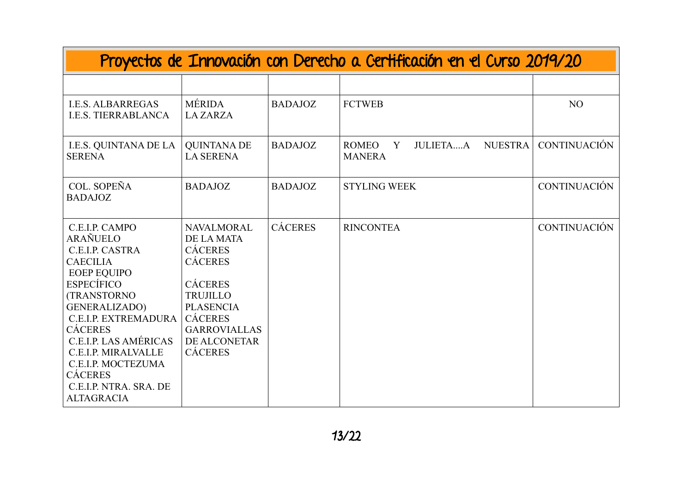| Proyectos de Innovación con Derecho a Certificación en el Curso 2019/20                                                                                                                                                                                                                                                                                   |                                                                                                                                                                                                         |                |                                                                         |                     |  |
|-----------------------------------------------------------------------------------------------------------------------------------------------------------------------------------------------------------------------------------------------------------------------------------------------------------------------------------------------------------|---------------------------------------------------------------------------------------------------------------------------------------------------------------------------------------------------------|----------------|-------------------------------------------------------------------------|---------------------|--|
|                                                                                                                                                                                                                                                                                                                                                           |                                                                                                                                                                                                         |                |                                                                         |                     |  |
| <b>I.E.S. ALBARREGAS</b><br><b>I.E.S. TIERRABLANCA</b>                                                                                                                                                                                                                                                                                                    | MÉRIDA<br><b>LAZARZA</b>                                                                                                                                                                                | <b>BADAJOZ</b> | <b>FCTWEB</b>                                                           | N <sub>O</sub>      |  |
| I.E.S. QUINTANA DE LA<br><b>SERENA</b>                                                                                                                                                                                                                                                                                                                    | <b>QUINTANA DE</b><br><b>LA SERENA</b>                                                                                                                                                                  | <b>BADAJOZ</b> | <b>NUESTRA</b><br><b>ROMEO</b><br><b>JULIETAA</b><br>Y<br><b>MANERA</b> | <b>CONTINUACIÓN</b> |  |
| COL. SOPEÑA<br><b>BADAJOZ</b>                                                                                                                                                                                                                                                                                                                             | <b>BADAJOZ</b>                                                                                                                                                                                          | <b>BADAJOZ</b> | <b>STYLING WEEK</b>                                                     | <b>CONTINUACIÓN</b> |  |
| C.E.I.P. CAMPO<br>ARAÑUELO<br>C.E.I.P. CASTRA<br><b>CAECILIA</b><br><b>EOEP EQUIPO</b><br><b>ESPECÍFICO</b><br><b>(TRANSTORNO)</b><br><b>GENERALIZADO)</b><br><b>C.E.I.P. EXTREMADURA</b><br><b>CÁCERES</b><br>C.E.I.P. LAS AMÉRICAS<br><b>C.E.I.P. MIRALVALLE</b><br>C.E.I.P. MOCTEZUMA<br><b>CÁCERES</b><br>C.E.I.P. NTRA. SRA. DE<br><b>ALTAGRACIA</b> | <b>NAVALMORAL</b><br>DE LA MATA<br><b>CÁCERES</b><br><b>CÁCERES</b><br><b>CÁCERES</b><br><b>TRUJILLO</b><br><b>PLASENCIA</b><br><b>CÁCERES</b><br><b>GARROVIALLAS</b><br>DE ALCONETAR<br><b>CÁCERES</b> | <b>CÁCERES</b> | <b>RINCONTEA</b>                                                        | <b>CONTINUACIÓN</b> |  |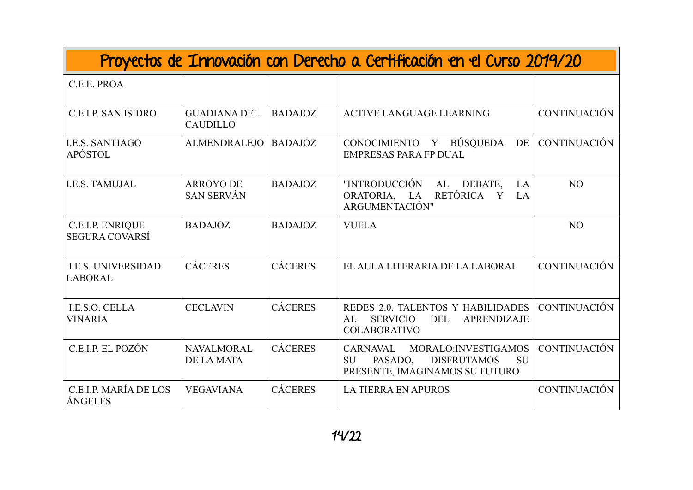| Proyectos de Innovación con Derecho a Certificación en el Curso 2019/20 |                                        |                |                                                                                                                                      |                     |  |
|-------------------------------------------------------------------------|----------------------------------------|----------------|--------------------------------------------------------------------------------------------------------------------------------------|---------------------|--|
| C.E.E. PROA                                                             |                                        |                |                                                                                                                                      |                     |  |
| <b>C.E.I.P. SAN ISIDRO</b>                                              | <b>GUADIANA DEL</b><br><b>CAUDILLO</b> | <b>BADAJOZ</b> | <b>ACTIVE LANGUAGE LEARNING</b>                                                                                                      | <b>CONTINUACIÓN</b> |  |
| <b>I.E.S. SANTIAGO</b><br>APÓSTOL                                       | <b>ALMENDRALEJO</b>                    | <b>BADAJOZ</b> | CONOCIMIENTO Y BÚSQUEDA<br><b>DE</b><br><b>EMPRESAS PARA FP DUAL</b>                                                                 | <b>CONTINUACIÓN</b> |  |
| <b>I.E.S. TAMUJAL</b>                                                   | <b>ARROYO DE</b><br><b>SAN SERVÁN</b>  | <b>BADAJOZ</b> | "INTRODUCCIÓN<br>DEBATE,<br>AL<br>LA<br>RETÓRICA<br>ORATORIA, LA<br>LA<br>Y<br>ARGUMENTACIÓN"                                        | N <sub>O</sub>      |  |
| <b>C.E.I.P. ENRIQUE</b><br><b>SEGURA COVARSÍ</b>                        | <b>BADAJOZ</b>                         | <b>BADAJOZ</b> | <b>VUELA</b>                                                                                                                         | N <sub>O</sub>      |  |
| <b>I.E.S. UNIVERSIDAD</b><br><b>LABORAL</b>                             | <b>CÁCERES</b>                         | <b>CÁCERES</b> | EL AULA LITERARIA DE LA LABORAL                                                                                                      | <b>CONTINUACIÓN</b> |  |
| I.E.S.O. CELLA<br><b>VINARIA</b>                                        | <b>CECLAVIN</b>                        | <b>CÁCERES</b> | REDES 2.0. TALENTOS Y HABILIDADES<br><b>DEL</b><br>AL<br><b>SERVICIO</b><br>APRENDIZAJE<br><b>COLABORATIVO</b>                       | <b>CONTINUACIÓN</b> |  |
| C.E.I.P. EL POZÓN                                                       | <b>NAVALMORAL</b><br><b>DE LA MATA</b> | <b>CÁCERES</b> | <b>CARNAVAL</b><br>MORALO: INVESTIGAMOS<br><b>DISFRUTAMOS</b><br><b>SU</b><br><b>SU</b><br>PASADO,<br>PRESENTE, IMAGINAMOS SU FUTURO | <b>CONTINUACIÓN</b> |  |
| C.E.I.P. MARÍA DE LOS<br>ÁNGELES                                        | <b>VEGAVIANA</b>                       | <b>CÁCERES</b> | <b>LA TIERRA EN APUROS</b>                                                                                                           | <b>CONTINUACIÓN</b> |  |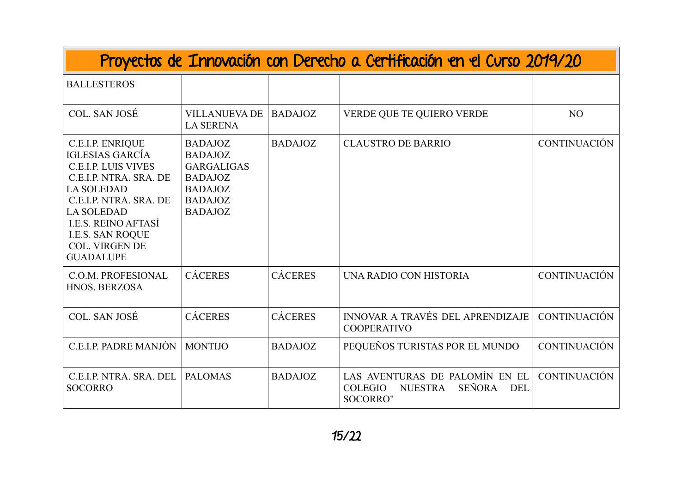| Proyectos de Innovación con Derecho a Certificación en el Curso 2019/20                                                                                                                                                                                                             |                                                                                                                               |                |                                                                                                     |                     |  |
|-------------------------------------------------------------------------------------------------------------------------------------------------------------------------------------------------------------------------------------------------------------------------------------|-------------------------------------------------------------------------------------------------------------------------------|----------------|-----------------------------------------------------------------------------------------------------|---------------------|--|
| <b>BALLESTEROS</b>                                                                                                                                                                                                                                                                  |                                                                                                                               |                |                                                                                                     |                     |  |
| COL. SAN JOSÉ                                                                                                                                                                                                                                                                       | <b>VILLANUEVA DE</b><br><b>LA SERENA</b>                                                                                      | <b>BADAJOZ</b> | VERDE QUE TE QUIERO VERDE                                                                           | N <sub>O</sub>      |  |
| <b>C.E.I.P. ENRIQUE</b><br><b>IGLESIAS GARCÍA</b><br><b>C.E.I.P. LUIS VIVES</b><br>C.E.I.P. NTRA. SRA. DE<br><b>LA SOLEDAD</b><br>C.E.I.P. NTRA. SRA. DE<br><b>LA SOLEDAD</b><br><b>I.E.S. REINO AFTASÍ</b><br><b>I.E.S. SAN ROQUE</b><br><b>COL. VIRGEN DE</b><br><b>GUADALUPE</b> | <b>BADAJOZ</b><br><b>BADAJOZ</b><br><b>GARGALIGAS</b><br><b>BADAJOZ</b><br><b>BADAJOZ</b><br><b>BADAJOZ</b><br><b>BADAJOZ</b> | <b>BADAJOZ</b> | <b>CLAUSTRO DE BARRIO</b>                                                                           | <b>CONTINUACIÓN</b> |  |
| C.O.M. PROFESIONAL<br>HNOS. BERZOSA                                                                                                                                                                                                                                                 | <b>CÁCERES</b>                                                                                                                | <b>CÁCERES</b> | UNA RADIO CON HISTORIA                                                                              | <b>CONTINUACIÓN</b> |  |
| COL. SAN JOSÉ                                                                                                                                                                                                                                                                       | <b>CÁCERES</b>                                                                                                                | <b>CÁCERES</b> | INNOVAR A TRAVÉS DEL APRENDIZAJE<br><b>COOPERATIVO</b>                                              | <b>CONTINUACIÓN</b> |  |
| C.E.I.P. PADRE MANJÓN                                                                                                                                                                                                                                                               | <b>MONTIJO</b>                                                                                                                | <b>BADAJOZ</b> | PEQUEÑOS TURISTAS POR EL MUNDO                                                                      | <b>CONTINUACIÓN</b> |  |
| C.E.I.P. NTRA. SRA. DEL<br><b>SOCORRO</b>                                                                                                                                                                                                                                           | <b>PALOMAS</b>                                                                                                                | <b>BADAJOZ</b> | LAS AVENTURAS DE PALOMÍN EN EL<br>SEÑORA DEL<br><b>NUESTRA</b><br><b>COLEGIO</b><br><b>SOCORRO"</b> | <b>CONTINUACIÓN</b> |  |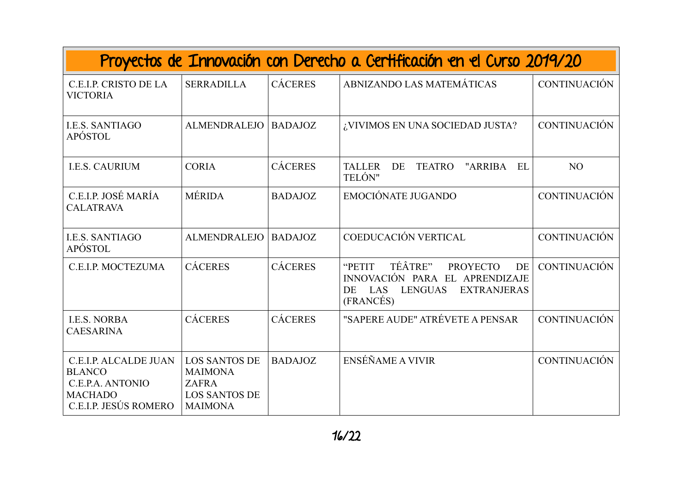| Proyectos de Innovación con Derecho a Certificación en el Curso 2019/20                                      |                                                                                                  |                |                                                                                                                                                |                     |  |  |
|--------------------------------------------------------------------------------------------------------------|--------------------------------------------------------------------------------------------------|----------------|------------------------------------------------------------------------------------------------------------------------------------------------|---------------------|--|--|
| C.E.I.P. CRISTO DE LA<br><b>VICTORIA</b>                                                                     | <b>SERRADILLA</b>                                                                                | <b>CÁCERES</b> | ABNIZANDO LAS MATEMÁTICAS                                                                                                                      | <b>CONTINUACIÓN</b> |  |  |
| <b>I.E.S. SANTIAGO</b><br>APÓSTOL                                                                            | <b>ALMENDRALEJO</b>                                                                              | <b>BADAJOZ</b> | ¿VIVIMOS EN UNA SOCIEDAD JUSTA?                                                                                                                | <b>CONTINUACIÓN</b> |  |  |
| <b>I.E.S. CAURIUM</b>                                                                                        | <b>CORIA</b>                                                                                     | <b>CÁCERES</b> | <b>TALLER</b><br>DE<br><b>TEATRO</b><br>"ARRIBA<br>EL<br>TELÓN"                                                                                | N <sub>O</sub>      |  |  |
| C.E.I.P. JOSÉ MARÍA<br><b>CALATRAVA</b>                                                                      | <b>MÉRIDA</b>                                                                                    | <b>BADAJOZ</b> | <b>EMOCIÓNATE JUGANDO</b>                                                                                                                      | <b>CONTINUACIÓN</b> |  |  |
| <b>I.E.S. SANTIAGO</b><br>APÓSTOL                                                                            | <b>ALMENDRALEJO</b>                                                                              | <b>BADAJOZ</b> | COEDUCACIÓN VERTICAL                                                                                                                           | <b>CONTINUACIÓN</b> |  |  |
| C.E.I.P. MOCTEZUMA                                                                                           | <b>CÁCERES</b>                                                                                   | <b>CÁCERES</b> | TÉÂTRE"<br>"PETIT<br><b>PROYECTO</b><br>DE<br>INNOVACIÓN PARA EL APRENDIZAJE<br><b>LENGUAS</b><br><b>EXTRANJERAS</b><br>LAS<br>DE<br>(FRANCÉS) | <b>CONTINUACIÓN</b> |  |  |
| <b>I.E.S. NORBA</b><br><b>CAESARINA</b>                                                                      | <b>CÁCERES</b>                                                                                   | <b>CÁCERES</b> | "SAPERE AUDE" ATRÉVETE A PENSAR                                                                                                                | <b>CONTINUACIÓN</b> |  |  |
| <b>C.E.I.P. ALCALDE JUAN</b><br><b>BLANCO</b><br>C.E.P.A. ANTONIO<br><b>MACHADO</b><br>C.E.I.P. JESÚS ROMERO | <b>LOS SANTOS DE</b><br><b>MAIMONA</b><br><b>ZAFRA</b><br><b>LOS SANTOS DE</b><br><b>MAIMONA</b> | <b>BADAJOZ</b> | ENSÉÑAME A VIVIR                                                                                                                               | <b>CONTINUACIÓN</b> |  |  |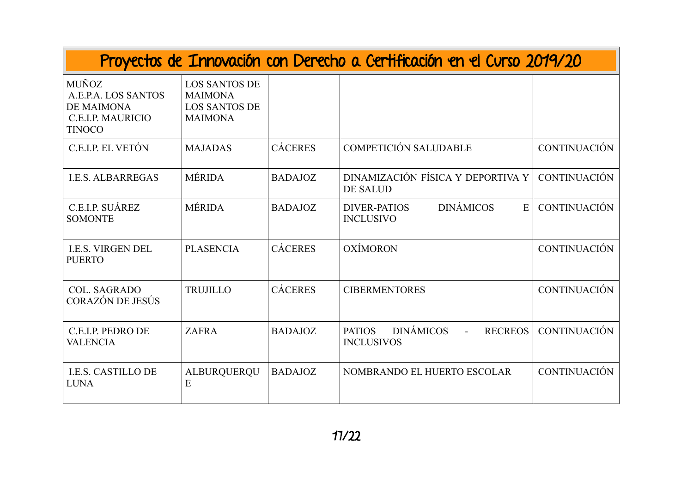| Proyectos de Innovación con Derecho a Certificación en el Curso 2019/20                        |                                                                                  |                |                                                                                            |                     |  |
|------------------------------------------------------------------------------------------------|----------------------------------------------------------------------------------|----------------|--------------------------------------------------------------------------------------------|---------------------|--|
| MUÑOZ<br>A.E.P.A. LOS SANTOS<br><b>DE MAIMONA</b><br><b>C.E.I.P. MAURICIO</b><br><b>TINOCO</b> | <b>LOS SANTOS DE</b><br><b>MAIMONA</b><br><b>LOS SANTOS DE</b><br><b>MAIMONA</b> |                |                                                                                            |                     |  |
| C.E.I.P. EL VETÓN                                                                              | <b>MAJADAS</b>                                                                   | <b>CÁCERES</b> | <b>COMPETICIÓN SALUDABLE</b>                                                               | <b>CONTINUACIÓN</b> |  |
| <b>I.E.S. ALBARREGAS</b>                                                                       | <b>MÉRIDA</b>                                                                    | <b>BADAJOZ</b> | DINAMIZACIÓN FÍSICA Y DEPORTIVA Y<br><b>DE SALUD</b>                                       | <b>CONTINUACIÓN</b> |  |
| C.E.I.P. SUÁREZ<br><b>SOMONTE</b>                                                              | <b>MÉRIDA</b>                                                                    | <b>BADAJOZ</b> | <b>DINÁMICOS</b><br>E<br><b>DIVER-PATIOS</b><br><b>INCLUSIVO</b>                           | <b>CONTINUACIÓN</b> |  |
| <b>I.E.S. VIRGEN DEL</b><br><b>PUERTO</b>                                                      | <b>PLASENCIA</b>                                                                 | <b>CÁCERES</b> | OXÍMORON                                                                                   | <b>CONTINUACIÓN</b> |  |
| <b>COL. SAGRADO</b><br>CORAZÓN DE JESÚS                                                        | <b>TRUJILLO</b>                                                                  | <b>CÁCERES</b> | <b>CIBERMENTORES</b>                                                                       | <b>CONTINUACIÓN</b> |  |
| C.E.I.P. PEDRO DE<br><b>VALENCIA</b>                                                           | <b>ZAFRA</b>                                                                     | <b>BADAJOZ</b> | <b>DINÁMICOS</b><br><b>RECREOS</b><br><b>PATIOS</b><br>$\overline{a}$<br><b>INCLUSIVOS</b> | <b>CONTINUACIÓN</b> |  |
| <b>I.E.S. CASTILLO DE</b><br><b>LUNA</b>                                                       | ALBURQUERQU<br>E                                                                 | <b>BADAJOZ</b> | NOMBRANDO EL HUERTO ESCOLAR                                                                | <b>CONTINUACIÓN</b> |  |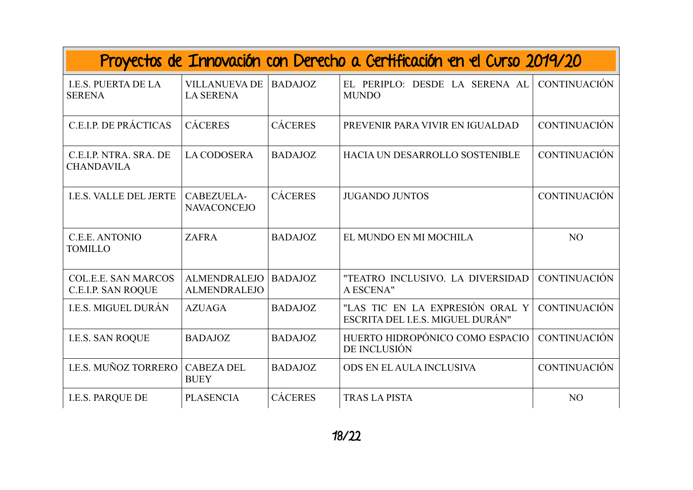| Proyectos de Innovación con Derecho a Certificación en el Curso 2019/20 |                                            |                |                                                                     |                     |  |  |
|-------------------------------------------------------------------------|--------------------------------------------|----------------|---------------------------------------------------------------------|---------------------|--|--|
| <b>I.E.S. PUERTA DE LA</b><br><b>SERENA</b>                             | <b>VILLANUEVA DE</b><br><b>LA SERENA</b>   | <b>BADAJOZ</b> | EL PERIPLO: DESDE LA SERENA AL<br><b>MUNDO</b>                      | <b>CONTINUACIÓN</b> |  |  |
| C.E.I.P. DE PRÁCTICAS                                                   | <b>CÁCERES</b>                             | <b>CÁCERES</b> | PREVENIR PARA VIVIR EN IGUALDAD                                     | <b>CONTINUACIÓN</b> |  |  |
| C.E.I.P. NTRA. SRA. DE<br><b>CHANDAVILA</b>                             | <b>LA CODOSERA</b>                         | <b>BADAJOZ</b> | HACIA UN DESARROLLO SOSTENIBLE                                      | <b>CONTINUACIÓN</b> |  |  |
| <b>I.E.S. VALLE DEL JERTE</b>                                           | CABEZUELA-<br><b>NAVACONCEJO</b>           | <b>CÁCERES</b> | <b>JUGANDO JUNTOS</b>                                               | <b>CONTINUACIÓN</b> |  |  |
| C.E.E. ANTONIO<br><b>TOMILLO</b>                                        | <b>ZAFRA</b>                               | <b>BADAJOZ</b> | EL MUNDO EN MI MOCHILA                                              | N <sub>O</sub>      |  |  |
| <b>COL.E.E. SAN MARCOS</b><br><b>C.E.I.P. SAN ROQUE</b>                 | <b>ALMENDRALEJO</b><br><b>ALMENDRALEJO</b> | <b>BADAJOZ</b> | "TEATRO INCLUSIVO. LA DIVERSIDAD<br>A ESCENA"                       | <b>CONTINUACIÓN</b> |  |  |
| <b>I.E.S. MIGUEL DURÁN</b>                                              | <b>AZUAGA</b>                              | <b>BADAJOZ</b> | "LAS TIC EN LA EXPRESIÓN ORAL Y<br>ESCRITA DEL I.E.S. MIGUEL DURÁN" | <b>CONTINUACIÓN</b> |  |  |
| <b>I.E.S. SAN ROQUE</b>                                                 | <b>BADAJOZ</b>                             | <b>BADAJOZ</b> | HUERTO HIDROPÓNICO COMO ESPACIO<br>DE INCLUSIÓN                     | <b>CONTINUACIÓN</b> |  |  |
| I.E.S. MUÑOZ TORRERO                                                    | <b>CABEZA DEL</b><br><b>BUEY</b>           | <b>BADAJOZ</b> | ODS EN EL AULA INCLUSIVA                                            | <b>CONTINUACIÓN</b> |  |  |
| <b>I.E.S. PARQUE DE</b>                                                 | <b>PLASENCIA</b>                           | <b>CÁCERES</b> | <b>TRAS LA PISTA</b>                                                | N <sub>O</sub>      |  |  |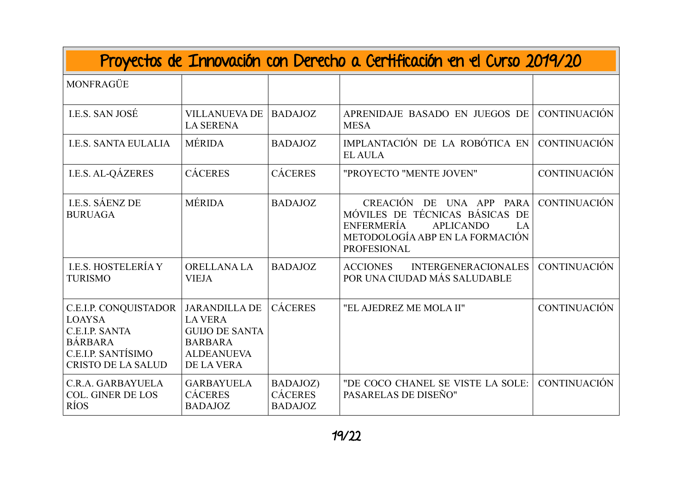| Proyectos de Innovación con Derecho a Certificación en el Curso 2019/20                                                              |                                                                                                                      |                                              |                                                                                                                                                                |                     |  |
|--------------------------------------------------------------------------------------------------------------------------------------|----------------------------------------------------------------------------------------------------------------------|----------------------------------------------|----------------------------------------------------------------------------------------------------------------------------------------------------------------|---------------------|--|
| MONFRAGÜE                                                                                                                            |                                                                                                                      |                                              |                                                                                                                                                                |                     |  |
| <b>I.E.S. SAN JOSÉ</b>                                                                                                               | <b>VILLANUEVA DE</b><br><b>LA SERENA</b>                                                                             | <b>BADAJOZ</b>                               | APRENIDAJE BASADO EN JUEGOS DE<br><b>MESA</b>                                                                                                                  | <b>CONTINUACIÓN</b> |  |
| <b>I.E.S. SANTA EULALIA</b>                                                                                                          | <b>MÉRIDA</b>                                                                                                        | <b>BADAJOZ</b>                               | IMPLANTACIÓN DE LA ROBÓTICA EN<br><b>EL AULA</b>                                                                                                               | <b>CONTINUACIÓN</b> |  |
| <b>I.E.S. AL-QÁZERES</b>                                                                                                             | <b>CÁCERES</b>                                                                                                       | <b>CÁCERES</b>                               | "PROYECTO "MENTE JOVEN"                                                                                                                                        | <b>CONTINUACIÓN</b> |  |
| <b>I.E.S. SÁENZ DE</b><br><b>BURUAGA</b>                                                                                             | <b>MÉRIDA</b>                                                                                                        | <b>BADAJOZ</b>                               | CREACIÓN DE UNA APP PARA<br>MÓVILES DE TÉCNICAS BÁSICAS<br>DE<br>ENFERMERÍA<br><b>APLICANDO</b><br>LA<br>METODOLOGÍA ABP EN LA FORMACIÓN<br><b>PROFESIONAL</b> | <b>CONTINUACIÓN</b> |  |
| <b>LE.S. HOSTELERÍA Y</b><br><b>TURISMO</b>                                                                                          | ORELLANA LA<br><b>VIEJA</b>                                                                                          | <b>BADAJOZ</b>                               | <b>ACCIONES</b><br><b>INTERGENERACIONALES</b><br>POR UNA CIUDAD MÁS SALUDABLE                                                                                  | <b>CONTINUACIÓN</b> |  |
| <b>C.E.I.P. CONQUISTADOR</b><br><b>LOAYSA</b><br>C.E.I.P. SANTA<br><b>BÁRBARA</b><br>C.E.I.P. SANTÍSIMO<br><b>CRISTO DE LA SALUD</b> | <b>JARANDILLA DE</b><br><b>LA VERA</b><br><b>GUIJO DE SANTA</b><br><b>BARBARA</b><br><b>ALDEANUEVA</b><br>DE LA VERA | <b>CÁCERES</b>                               | "EL AJEDREZ ME MOLA II"                                                                                                                                        | <b>CONTINUACIÓN</b> |  |
| C.R.A. GARBAYUELA<br><b>COL. GINER DE LOS</b><br><b>RÍOS</b>                                                                         | <b>GARBAYUELA</b><br><b>CÁCERES</b><br><b>BADAJOZ</b>                                                                | BADAJOZ)<br><b>CÁCERES</b><br><b>BADAJOZ</b> | "DE COCO CHANEL SE VISTE LA SOLE:<br>PASARELAS DE DISEÑO"                                                                                                      | <b>CONTINUACIÓN</b> |  |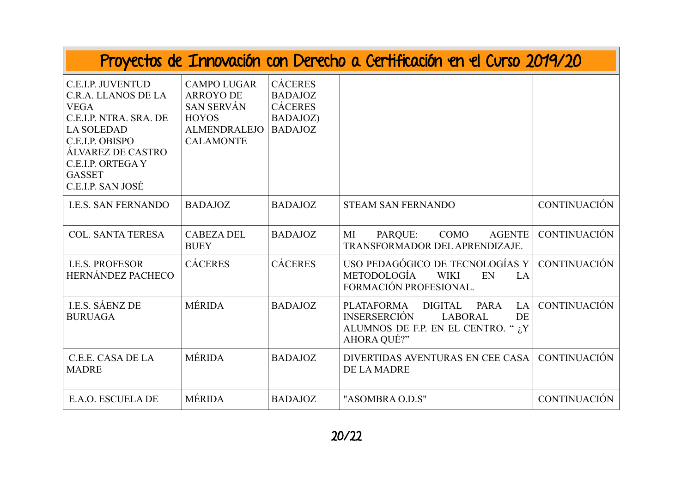| Proyectos de Innovación con Derecho a Certificación en el Curso 2019/20                                                                                                                                          |                                                                                                                        |                                                                                  |                                                                                                                                                              |                     |  |
|------------------------------------------------------------------------------------------------------------------------------------------------------------------------------------------------------------------|------------------------------------------------------------------------------------------------------------------------|----------------------------------------------------------------------------------|--------------------------------------------------------------------------------------------------------------------------------------------------------------|---------------------|--|
| <b>C.E.I.P. JUVENTUD</b><br>C.R.A. LLANOS DE LA<br><b>VEGA</b><br>C.E.I.P. NTRA. SRA. DE<br><b>LA SOLEDAD</b><br>C.E.I.P. OBISPO<br>ÁLVAREZ DE CASTRO<br>C.E.I.P. ORTEGA Y<br><b>GASSET</b><br>C.E.I.P. SAN JOSÉ | <b>CAMPO LUGAR</b><br><b>ARROYO DE</b><br><b>SAN SERVÁN</b><br><b>HOYOS</b><br><b>ALMENDRALEJO</b><br><b>CALAMONTE</b> | <b>CÁCERES</b><br><b>BADAJOZ</b><br><b>CÁCERES</b><br>BADAJOZ)<br><b>BADAJOZ</b> |                                                                                                                                                              |                     |  |
| <b>I.E.S. SAN FERNANDO</b>                                                                                                                                                                                       | <b>BADAJOZ</b>                                                                                                         | <b>BADAJOZ</b>                                                                   | <b>STEAM SAN FERNANDO</b>                                                                                                                                    | <b>CONTINUACIÓN</b> |  |
| <b>COL. SANTA TERESA</b>                                                                                                                                                                                         | <b>CABEZA DEL</b><br><b>BUEY</b>                                                                                       | <b>BADAJOZ</b>                                                                   | COMO<br>MI<br>PARQUE:<br><b>AGENTE</b><br>TRANSFORMADOR DEL APRENDIZAJE.                                                                                     | <b>CONTINUACIÓN</b> |  |
| <b>I.E.S. PROFESOR</b><br>HERNÁNDEZ PACHECO                                                                                                                                                                      | <b>CÁCERES</b>                                                                                                         | <b>CÁCERES</b>                                                                   | USO PEDAGÓGICO DE TECNOLOGÍAS Y<br><b>METODOLOGÍA</b><br><b>WIKI</b><br>EN<br>LA<br>FORMACIÓN PROFESIONAL.                                                   | <b>CONTINUACIÓN</b> |  |
| <b>I.E.S. SÁENZ DE</b><br><b>BURUAGA</b>                                                                                                                                                                         | <b>MÉRIDA</b>                                                                                                          | <b>BADAJOZ</b>                                                                   | <b>PLATAFORMA</b><br><b>DIGITAL</b><br><b>PARA</b><br>LA<br><b>INSERSERCIÓN</b><br><b>LABORAL</b><br>DE<br>ALUMNOS DE F.P. EN EL CENTRO. " ¿Y<br>AHORA QUÉ?" | <b>CONTINUACIÓN</b> |  |
| C.E.E. CASA DE LA<br><b>MADRE</b>                                                                                                                                                                                | <b>MÉRIDA</b>                                                                                                          | <b>BADAJOZ</b>                                                                   | DIVERTIDAS AVENTURAS EN CEE CASA<br><b>DE LA MADRE</b>                                                                                                       | <b>CONTINUACIÓN</b> |  |
| E.A.O. ESCUELA DE                                                                                                                                                                                                | <b>MÉRIDA</b>                                                                                                          | <b>BADAJOZ</b>                                                                   | "ASOMBRA O.D.S"                                                                                                                                              | <b>CONTINUACIÓN</b> |  |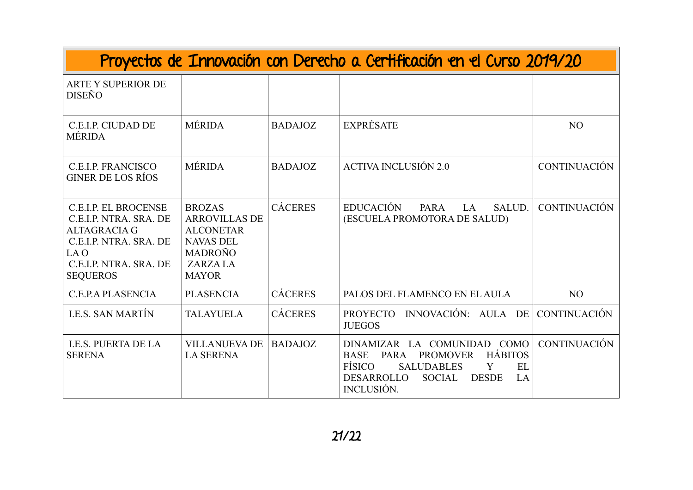| Proyectos de Innovación con Derecho a Certificación en el Curso 2019/20                                                                                     |                                                                                                                                   |                |                                                                                                                                                                                                             |                     |  |
|-------------------------------------------------------------------------------------------------------------------------------------------------------------|-----------------------------------------------------------------------------------------------------------------------------------|----------------|-------------------------------------------------------------------------------------------------------------------------------------------------------------------------------------------------------------|---------------------|--|
| <b>ARTE Y SUPERIOR DE</b><br><b>DISEÑO</b>                                                                                                                  |                                                                                                                                   |                |                                                                                                                                                                                                             |                     |  |
| C.E.I.P. CIUDAD DE<br><b>MÉRIDA</b>                                                                                                                         | <b>MÉRIDA</b>                                                                                                                     | <b>BADAJOZ</b> | <b>EXPRÉSATE</b>                                                                                                                                                                                            | NO                  |  |
| <b>C.E.I.P. FRANCISCO</b><br><b>GINER DE LOS RÍOS</b>                                                                                                       | <b>MÉRIDA</b>                                                                                                                     | <b>BADAJOZ</b> | <b>ACTIVA INCLUSIÓN 2.0</b>                                                                                                                                                                                 | <b>CONTINUACIÓN</b> |  |
| <b>C.E.I.P. EL BROCENSE</b><br>C.E.I.P. NTRA. SRA. DE<br><b>ALTAGRACIA G</b><br>C.E.I.P. NTRA. SRA. DE<br>LA O<br>C.E.I.P. NTRA. SRA. DE<br><b>SEQUEROS</b> | <b>BROZAS</b><br><b>ARROVILLAS DE</b><br><b>ALCONETAR</b><br><b>NAVAS DEL</b><br><b>MADROÑO</b><br><b>ZARZALA</b><br><b>MAYOR</b> | <b>CÁCERES</b> | <b>EDUCACIÓN</b><br>PARA<br>LA<br>SALUD.<br>(ESCUELA PROMOTORA DE SALUD)                                                                                                                                    | <b>CONTINUACIÓN</b> |  |
| C.E.P.A PLASENCIA                                                                                                                                           | <b>PLASENCIA</b>                                                                                                                  | <b>CÁCERES</b> | PALOS DEL FLAMENCO EN EL AULA                                                                                                                                                                               | N <sub>O</sub>      |  |
| <b>I.E.S. SAN MARTÍN</b>                                                                                                                                    | <b>TALAYUELA</b>                                                                                                                  | <b>CÁCERES</b> | INNOVACIÓN: AULA DE<br>PROYECTO<br><b>JUEGOS</b>                                                                                                                                                            | <b>CONTINUACIÓN</b> |  |
| <b>I.E.S. PUERTA DE LA</b><br><b>SERENA</b>                                                                                                                 | <b>VILLANUEVA DE</b><br><b>LA SERENA</b>                                                                                          | <b>BADAJOZ</b> | DINAMIZAR LA COMUNIDAD COMO<br><b>HÁBITOS</b><br><b>PROMOVER</b><br><b>BASE</b><br><b>PARA</b><br>FÍSICO<br><b>SALUDABLES</b><br>Y<br>EL<br><b>DESARROLLO</b><br>SOCIAL<br><b>DESDE</b><br>LA<br>INCLUSIÓN. | <b>CONTINUACIÓN</b> |  |